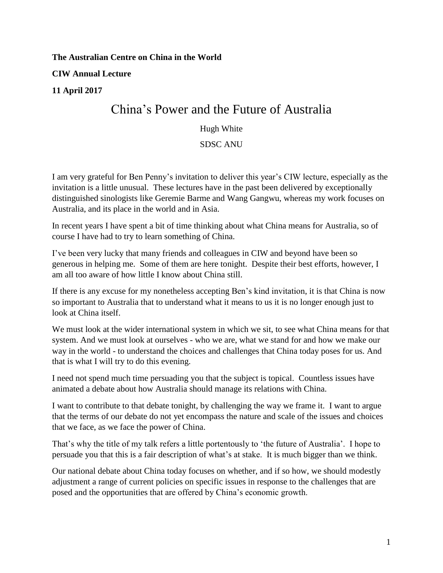**The Australian Centre on China in the World** 

**CIW Annual Lecture** 

## **11 April 2017**

## China's Power and the Future of Australia

## Hugh White

## SDSC ANU

I am very grateful for Ben Penny's invitation to deliver this year's CIW lecture, especially as the invitation is a little unusual. These lectures have in the past been delivered by exceptionally distinguished sinologists like Geremie Barme and Wang Gangwu, whereas my work focuses on Australia, and its place in the world and in Asia.

In recent years I have spent a bit of time thinking about what China means for Australia, so of course I have had to try to learn something of China.

I've been very lucky that many friends and colleagues in CIW and beyond have been so generous in helping me. Some of them are here tonight. Despite their best efforts, however, I am all too aware of how little I know about China still.

If there is any excuse for my nonetheless accepting Ben's kind invitation, it is that China is now so important to Australia that to understand what it means to us it is no longer enough just to look at China itself.

We must look at the wider international system in which we sit, to see what China means for that system. And we must look at ourselves - who we are, what we stand for and how we make our way in the world - to understand the choices and challenges that China today poses for us. And that is what I will try to do this evening.

I need not spend much time persuading you that the subject is topical. Countless issues have animated a debate about how Australia should manage its relations with China.

I want to contribute to that debate tonight, by challenging the way we frame it. I want to argue that the terms of our debate do not yet encompass the nature and scale of the issues and choices that we face, as we face the power of China.

That's why the title of my talk refers a little portentously to 'the future of Australia'. I hope to persuade you that this is a fair description of what's at stake. It is much bigger than we think.

Our national debate about China today focuses on whether, and if so how, we should modestly adjustment a range of current policies on specific issues in response to the challenges that are posed and the opportunities that are offered by China's economic growth.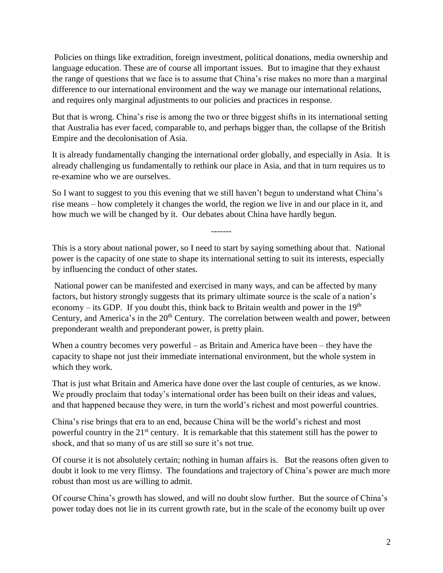Policies on things like extradition, foreign investment, political donations, media ownership and language education. These are of course all important issues. But to imagine that they exhaust the range of questions that we face is to assume that China's rise makes no more than a marginal difference to our international environment and the way we manage our international relations, and requires only marginal adjustments to our policies and practices in response.

But that is wrong. China's rise is among the two or three biggest shifts in its international setting that Australia has ever faced, comparable to, and perhaps bigger than, the collapse of the British Empire and the decolonisation of Asia.

It is already fundamentally changing the international order globally, and especially in Asia. It is already challenging us fundamentally to rethink our place in Asia, and that in turn requires us to re-examine who we are ourselves.

So I want to suggest to you this evening that we still haven't begun to understand what China's rise means – how completely it changes the world, the region we live in and our place in it, and how much we will be changed by it. Our debates about China have hardly begun.

This is a story about national power, so I need to start by saying something about that. National power is the capacity of one state to shape its international setting to suit its interests, especially by influencing the conduct of other states.

-------

National power can be manifested and exercised in many ways, and can be affected by many factors, but history strongly suggests that its primary ultimate source is the scale of a nation's economy – its GDP. If you doubt this, think back to Britain wealth and power in the  $19<sup>th</sup>$ Century, and America's in the 20<sup>th</sup> Century. The correlation between wealth and power, between preponderant wealth and preponderant power, is pretty plain.

When a country becomes very powerful – as Britain and America have been – they have the capacity to shape not just their immediate international environment, but the whole system in which they work.

That is just what Britain and America have done over the last couple of centuries, as we know. We proudly proclaim that today's international order has been built on their ideas and values, and that happened because they were, in turn the world's richest and most powerful countries.

China's rise brings that era to an end, because China will be the world's richest and most powerful country in the 21<sup>st</sup> century. It is remarkable that this statement still has the power to shock, and that so many of us are still so sure it's not true.

Of course it is not absolutely certain; nothing in human affairs is. But the reasons often given to doubt it look to me very flimsy. The foundations and trajectory of China's power are much more robust than most us are willing to admit.

Of course China's growth has slowed, and will no doubt slow further. But the source of China's power today does not lie in its current growth rate, but in the scale of the economy built up over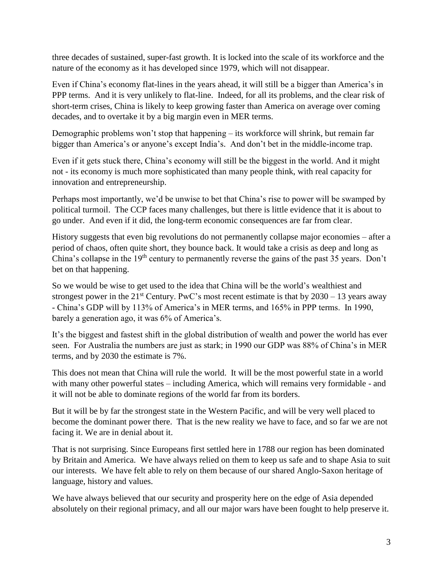three decades of sustained, super-fast growth. It is locked into the scale of its workforce and the nature of the economy as it has developed since 1979, which will not disappear.

Even if China's economy flat-lines in the years ahead, it will still be a bigger than America's in PPP terms. And it is very unlikely to flat-line. Indeed, for all its problems, and the clear risk of short-term crises, China is likely to keep growing faster than America on average over coming decades, and to overtake it by a big margin even in MER terms.

Demographic problems won't stop that happening – its workforce will shrink, but remain far bigger than America's or anyone's except India's. And don't bet in the middle-income trap.

Even if it gets stuck there, China's economy will still be the biggest in the world. And it might not - its economy is much more sophisticated than many people think, with real capacity for innovation and entrepreneurship.

Perhaps most importantly, we'd be unwise to bet that China's rise to power will be swamped by political turmoil. The CCP faces many challenges, but there is little evidence that it is about to go under. And even if it did, the long-term economic consequences are far from clear.

History suggests that even big revolutions do not permanently collapse major economies – after a period of chaos, often quite short, they bounce back. It would take a crisis as deep and long as China's collapse in the  $19<sup>th</sup>$  century to permanently reverse the gains of the past 35 years. Don't bet on that happening.

So we would be wise to get used to the idea that China will be the world's wealthiest and strongest power in the  $21^{st}$  Century. PwC's most recent estimate is that by  $2030 - 13$  years away - China's GDP will by 113% of America's in MER terms, and 165% in PPP terms. In 1990, barely a generation ago, it was 6% of America's.

It's the biggest and fastest shift in the global distribution of wealth and power the world has ever seen. For Australia the numbers are just as stark; in 1990 our GDP was 88% of China's in MER terms, and by 2030 the estimate is 7%.

This does not mean that China will rule the world. It will be the most powerful state in a world with many other powerful states – including America, which will remains very formidable - and it will not be able to dominate regions of the world far from its borders.

But it will be by far the strongest state in the Western Pacific, and will be very well placed to become the dominant power there. That is the new reality we have to face, and so far we are not facing it. We are in denial about it.

That is not surprising. Since Europeans first settled here in 1788 our region has been dominated by Britain and America. We have always relied on them to keep us safe and to shape Asia to suit our interests. We have felt able to rely on them because of our shared Anglo-Saxon heritage of language, history and values.

We have always believed that our security and prosperity here on the edge of Asia depended absolutely on their regional primacy, and all our major wars have been fought to help preserve it.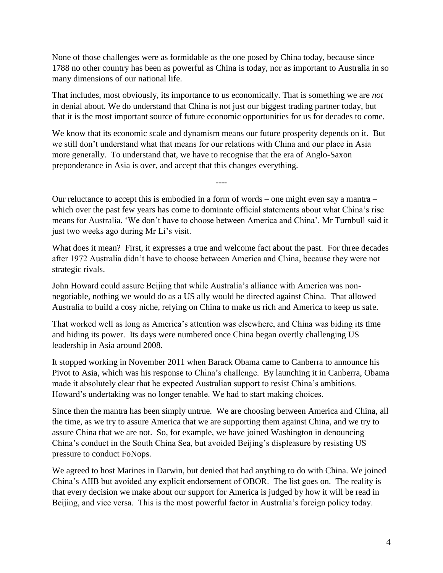None of those challenges were as formidable as the one posed by China today, because since 1788 no other country has been as powerful as China is today, nor as important to Australia in so many dimensions of our national life.

That includes, most obviously, its importance to us economically. That is something we are *not* in denial about. We do understand that China is not just our biggest trading partner today, but that it is the most important source of future economic opportunities for us for decades to come.

We know that its economic scale and dynamism means our future prosperity depends on it. But we still don't understand what that means for our relations with China and our place in Asia more generally. To understand that, we have to recognise that the era of Anglo-Saxon preponderance in Asia is over, and accept that this changes everything.

Our reluctance to accept this is embodied in a form of words – one might even say a mantra – which over the past few years has come to dominate official statements about what China's rise means for Australia. 'We don't have to choose between America and China'. Mr Turnbull said it just two weeks ago during Mr Li's visit.

----

What does it mean? First, it expresses a true and welcome fact about the past. For three decades after 1972 Australia didn't have to choose between America and China, because they were not strategic rivals.

John Howard could assure Beijing that while Australia's alliance with America was nonnegotiable, nothing we would do as a US ally would be directed against China. That allowed Australia to build a cosy niche, relying on China to make us rich and America to keep us safe.

That worked well as long as America's attention was elsewhere, and China was biding its time and hiding its power. Its days were numbered once China began overtly challenging US leadership in Asia around 2008.

It stopped working in November 2011 when Barack Obama came to Canberra to announce his Pivot to Asia, which was his response to China's challenge. By launching it in Canberra, Obama made it absolutely clear that he expected Australian support to resist China's ambitions. Howard's undertaking was no longer tenable. We had to start making choices.

Since then the mantra has been simply untrue. We are choosing between America and China, all the time, as we try to assure America that we are supporting them against China, and we try to assure China that we are not. So, for example, we have joined Washington in denouncing China's conduct in the South China Sea, but avoided Beijing's displeasure by resisting US pressure to conduct FoNops.

We agreed to host Marines in Darwin, but denied that had anything to do with China. We joined China's AIIB but avoided any explicit endorsement of OBOR. The list goes on. The reality is that every decision we make about our support for America is judged by how it will be read in Beijing, and vice versa. This is the most powerful factor in Australia's foreign policy today.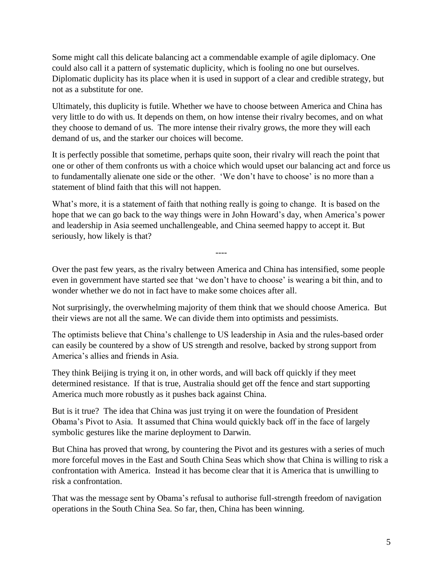Some might call this delicate balancing act a commendable example of agile diplomacy. One could also call it a pattern of systematic duplicity, which is fooling no one but ourselves. Diplomatic duplicity has its place when it is used in support of a clear and credible strategy, but not as a substitute for one.

Ultimately, this duplicity is futile. Whether we have to choose between America and China has very little to do with us. It depends on them, on how intense their rivalry becomes, and on what they choose to demand of us. The more intense their rivalry grows, the more they will each demand of us, and the starker our choices will become.

It is perfectly possible that sometime, perhaps quite soon, their rivalry will reach the point that one or other of them confronts us with a choice which would upset our balancing act and force us to fundamentally alienate one side or the other. 'We don't have to choose' is no more than a statement of blind faith that this will not happen.

What's more, it is a statement of faith that nothing really is going to change. It is based on the hope that we can go back to the way things were in John Howard's day, when America's power and leadership in Asia seemed unchallengeable, and China seemed happy to accept it. But seriously, how likely is that?

Over the past few years, as the rivalry between America and China has intensified, some people even in government have started see that 'we don't have to choose' is wearing a bit thin, and to wonder whether we do not in fact have to make some choices after all.

----

Not surprisingly, the overwhelming majority of them think that we should choose America. But their views are not all the same. We can divide them into optimists and pessimists.

The optimists believe that China's challenge to US leadership in Asia and the rules-based order can easily be countered by a show of US strength and resolve, backed by strong support from America's allies and friends in Asia.

They think Beijing is trying it on, in other words, and will back off quickly if they meet determined resistance. If that is true, Australia should get off the fence and start supporting America much more robustly as it pushes back against China.

But is it true? The idea that China was just trying it on were the foundation of President Obama's Pivot to Asia. It assumed that China would quickly back off in the face of largely symbolic gestures like the marine deployment to Darwin.

But China has proved that wrong, by countering the Pivot and its gestures with a series of much more forceful moves in the East and South China Seas which show that China is willing to risk a confrontation with America. Instead it has become clear that it is America that is unwilling to risk a confrontation.

That was the message sent by Obama's refusal to authorise full-strength freedom of navigation operations in the South China Sea. So far, then, China has been winning.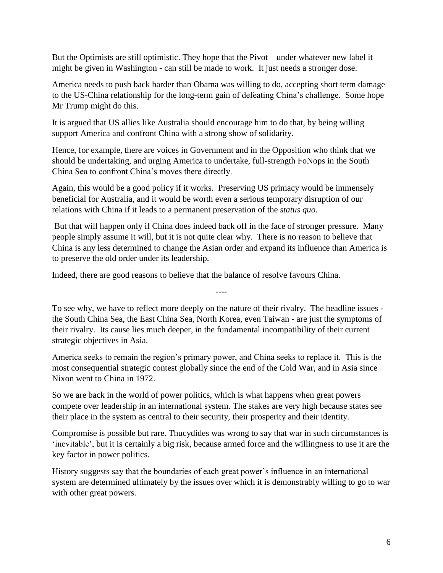But the Optimists are still optimistic. They hope that the Pivot – under whatever new label it might be given in Washington - can still be made to work. It just needs a stronger dose.

America needs to push back harder than Obama was willing to do, accepting short term damage to the US-China relationship for the long-term gain of defeating China's challenge. Some hope Mr Trump might do this.

It is argued that US allies like Australia should encourage him to do that, by being willing support America and confront China with a strong show of solidarity.

Hence, for example, there are voices in Government and in the Opposition who think that we should be undertaking, and urging America to undertake, full-strength FoNops in the South China Sea to confront China's moves there directly.

Again, this would be a good policy if it works. Preserving US primacy would be immensely beneficial for Australia, and it would be worth even a serious temporary disruption of our relations with China if it leads to a permanent preservation of the *status quo.*

But that will happen only if China does indeed back off in the face of stronger pressure. Many people simply assume it will, but it is not quite clear why. There is no reason to believe that China is any less determined to change the Asian order and expand its influence than America is to preserve the old order under its leadership.

Indeed, there are good reasons to believe that the balance of resolve favours China.

To see why, we have to reflect more deeply on the nature of their rivalry. The headline issues the South China Sea, the East China Sea, North Korea, even Taiwan - are just the symptoms of their rivalry. Its cause lies much deeper, in the fundamental incompatibility of their current strategic objectives in Asia.

----

America seeks to remain the region's primary power, and China seeks to replace it. This is the most consequential strategic contest globally since the end of the Cold War, and in Asia since Nixon went to China in 1972.

So we are back in the world of power politics, which is what happens when great powers compete over leadership in an international system. The stakes are very high because states see their place in the system as central to their security, their prosperity and their identity.

Compromise is possible but rare. Thucydides was wrong to say that war in such circumstances is 'inevitable', but it is certainly a big risk, because armed force and the willingness to use it are the key factor in power politics.

History suggests say that the boundaries of each great power's influence in an international system are determined ultimately by the issues over which it is demonstrably willing to go to war with other great powers.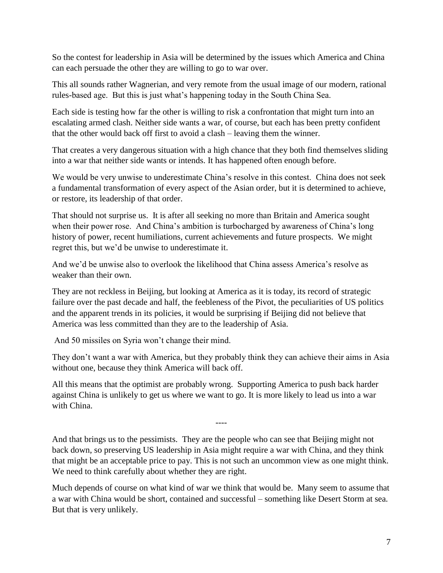So the contest for leadership in Asia will be determined by the issues which America and China can each persuade the other they are willing to go to war over.

This all sounds rather Wagnerian, and very remote from the usual image of our modern, rational rules-based age. But this is just what's happening today in the South China Sea.

Each side is testing how far the other is willing to risk a confrontation that might turn into an escalating armed clash. Neither side wants a war, of course, but each has been pretty confident that the other would back off first to avoid a clash – leaving them the winner.

That creates a very dangerous situation with a high chance that they both find themselves sliding into a war that neither side wants or intends. It has happened often enough before.

We would be very unwise to underestimate China's resolve in this contest. China does not seek a fundamental transformation of every aspect of the Asian order, but it is determined to achieve, or restore, its leadership of that order.

That should not surprise us. It is after all seeking no more than Britain and America sought when their power rose. And China's ambition is turbocharged by awareness of China's long history of power, recent humiliations, current achievements and future prospects. We might regret this, but we'd be unwise to underestimate it.

And we'd be unwise also to overlook the likelihood that China assess America's resolve as weaker than their own.

They are not reckless in Beijing, but looking at America as it is today, its record of strategic failure over the past decade and half, the feebleness of the Pivot, the peculiarities of US politics and the apparent trends in its policies, it would be surprising if Beijing did not believe that America was less committed than they are to the leadership of Asia.

And 50 missiles on Syria won't change their mind.

They don't want a war with America, but they probably think they can achieve their aims in Asia without one, because they think America will back off.

All this means that the optimist are probably wrong. Supporting America to push back harder against China is unlikely to get us where we want to go. It is more likely to lead us into a war with China.

And that brings us to the pessimists. They are the people who can see that Beijing might not back down, so preserving US leadership in Asia might require a war with China, and they think that might be an acceptable price to pay. This is not such an uncommon view as one might think. We need to think carefully about whether they are right.

----

Much depends of course on what kind of war we think that would be. Many seem to assume that a war with China would be short, contained and successful – something like Desert Storm at sea. But that is very unlikely.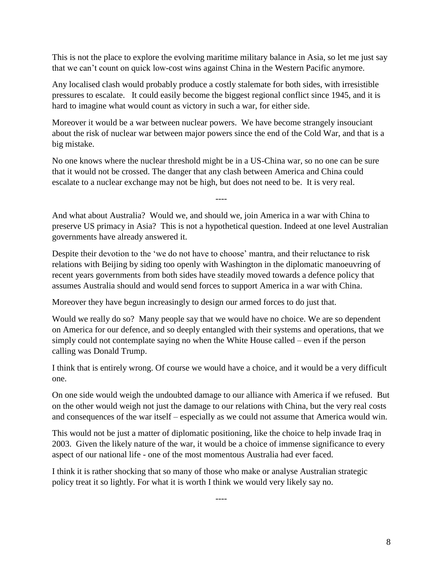This is not the place to explore the evolving maritime military balance in Asia, so let me just say that we can't count on quick low-cost wins against China in the Western Pacific anymore.

Any localised clash would probably produce a costly stalemate for both sides, with irresistible pressures to escalate. It could easily become the biggest regional conflict since 1945, and it is hard to imagine what would count as victory in such a war, for either side.

Moreover it would be a war between nuclear powers. We have become strangely insouciant about the risk of nuclear war between major powers since the end of the Cold War, and that is a big mistake.

No one knows where the nuclear threshold might be in a US-China war, so no one can be sure that it would not be crossed. The danger that any clash between America and China could escalate to a nuclear exchange may not be high, but does not need to be. It is very real.

And what about Australia? Would we, and should we, join America in a war with China to preserve US primacy in Asia? This is not a hypothetical question. Indeed at one level Australian governments have already answered it.

----

Despite their devotion to the 'we do not have to choose' mantra, and their reluctance to risk relations with Beijing by siding too openly with Washington in the diplomatic manoeuvring of recent years governments from both sides have steadily moved towards a defence policy that assumes Australia should and would send forces to support America in a war with China.

Moreover they have begun increasingly to design our armed forces to do just that.

Would we really do so? Many people say that we would have no choice. We are so dependent on America for our defence, and so deeply entangled with their systems and operations, that we simply could not contemplate saying no when the White House called – even if the person calling was Donald Trump.

I think that is entirely wrong. Of course we would have a choice, and it would be a very difficult one.

On one side would weigh the undoubted damage to our alliance with America if we refused. But on the other would weigh not just the damage to our relations with China, but the very real costs and consequences of the war itself – especially as we could not assume that America would win.

This would not be just a matter of diplomatic positioning, like the choice to help invade Iraq in 2003. Given the likely nature of the war, it would be a choice of immense significance to every aspect of our national life - one of the most momentous Australia had ever faced.

I think it is rather shocking that so many of those who make or analyse Australian strategic policy treat it so lightly. For what it is worth I think we would very likely say no.

----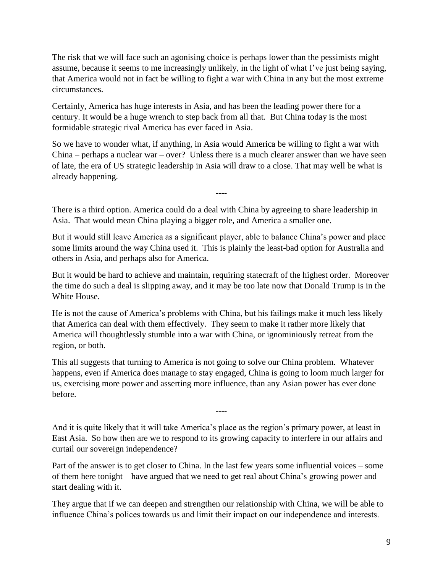The risk that we will face such an agonising choice is perhaps lower than the pessimists might assume, because it seems to me increasingly unlikely, in the light of what I've just being saying, that America would not in fact be willing to fight a war with China in any but the most extreme circumstances.

Certainly, America has huge interests in Asia, and has been the leading power there for a century. It would be a huge wrench to step back from all that. But China today is the most formidable strategic rival America has ever faced in Asia.

So we have to wonder what, if anything, in Asia would America be willing to fight a war with China – perhaps a nuclear war – over? Unless there is a much clearer answer than we have seen of late, the era of US strategic leadership in Asia will draw to a close. That may well be what is already happening.

----

There is a third option. America could do a deal with China by agreeing to share leadership in Asia. That would mean China playing a bigger role, and America a smaller one.

But it would still leave America as a significant player, able to balance China's power and place some limits around the way China used it. This is plainly the least-bad option for Australia and others in Asia, and perhaps also for America.

But it would be hard to achieve and maintain, requiring statecraft of the highest order. Moreover the time do such a deal is slipping away, and it may be too late now that Donald Trump is in the White House.

He is not the cause of America's problems with China, but his failings make it much less likely that America can deal with them effectively. They seem to make it rather more likely that America will thoughtlessly stumble into a war with China, or ignominiously retreat from the region, or both.

This all suggests that turning to America is not going to solve our China problem. Whatever happens, even if America does manage to stay engaged, China is going to loom much larger for us, exercising more power and asserting more influence, than any Asian power has ever done before.

And it is quite likely that it will take America's place as the region's primary power, at least in East Asia. So how then are we to respond to its growing capacity to interfere in our affairs and curtail our sovereign independence?

----

Part of the answer is to get closer to China. In the last few years some influential voices – some of them here tonight – have argued that we need to get real about China's growing power and start dealing with it.

They argue that if we can deepen and strengthen our relationship with China, we will be able to influence China's polices towards us and limit their impact on our independence and interests.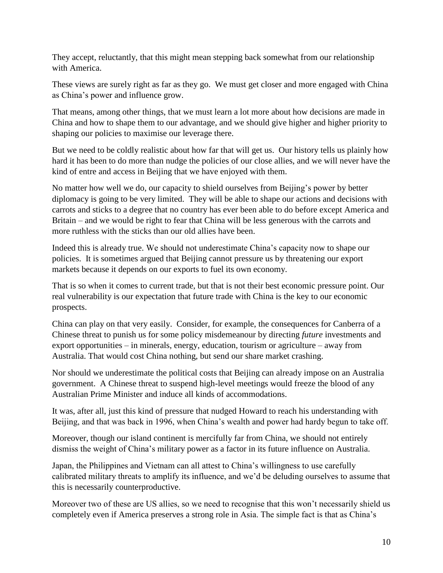They accept, reluctantly, that this might mean stepping back somewhat from our relationship with America.

These views are surely right as far as they go. We must get closer and more engaged with China as China's power and influence grow.

That means, among other things, that we must learn a lot more about how decisions are made in China and how to shape them to our advantage, and we should give higher and higher priority to shaping our policies to maximise our leverage there.

But we need to be coldly realistic about how far that will get us. Our history tells us plainly how hard it has been to do more than nudge the policies of our close allies, and we will never have the kind of entre and access in Beijing that we have enjoyed with them.

No matter how well we do, our capacity to shield ourselves from Beijing's power by better diplomacy is going to be very limited. They will be able to shape our actions and decisions with carrots and sticks to a degree that no country has ever been able to do before except America and Britain – and we would be right to fear that China will be less generous with the carrots and more ruthless with the sticks than our old allies have been.

Indeed this is already true. We should not underestimate China's capacity now to shape our policies. It is sometimes argued that Beijing cannot pressure us by threatening our export markets because it depends on our exports to fuel its own economy.

That is so when it comes to current trade, but that is not their best economic pressure point. Our real vulnerability is our expectation that future trade with China is the key to our economic prospects.

China can play on that very easily. Consider, for example, the consequences for Canberra of a Chinese threat to punish us for some policy misdemeanour by directing *future* investments and export opportunities – in minerals, energy, education, tourism or agriculture – away from Australia. That would cost China nothing, but send our share market crashing.

Nor should we underestimate the political costs that Beijing can already impose on an Australia government. A Chinese threat to suspend high-level meetings would freeze the blood of any Australian Prime Minister and induce all kinds of accommodations.

It was, after all, just this kind of pressure that nudged Howard to reach his understanding with Beijing, and that was back in 1996, when China's wealth and power had hardy begun to take off.

Moreover, though our island continent is mercifully far from China, we should not entirely dismiss the weight of China's military power as a factor in its future influence on Australia.

Japan, the Philippines and Vietnam can all attest to China's willingness to use carefully calibrated military threats to amplify its influence, and we'd be deluding ourselves to assume that this is necessarily counterproductive.

Moreover two of these are US allies, so we need to recognise that this won't necessarily shield us completely even if America preserves a strong role in Asia. The simple fact is that as China's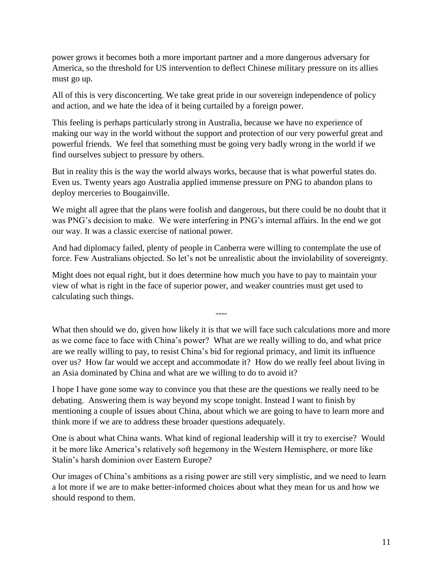power grows it becomes both a more important partner and a more dangerous adversary for America, so the threshold for US intervention to deflect Chinese military pressure on its allies must go up.

All of this is very disconcerting. We take great pride in our sovereign independence of policy and action, and we hate the idea of it being curtailed by a foreign power.

This feeling is perhaps particularly strong in Australia, because we have no experience of making our way in the world without the support and protection of our very powerful great and powerful friends. We feel that something must be going very badly wrong in the world if we find ourselves subject to pressure by others.

But in reality this is the way the world always works, because that is what powerful states do. Even us. Twenty years ago Australia applied immense pressure on PNG to abandon plans to deploy merceries to Bougainville.

We might all agree that the plans were foolish and dangerous, but there could be no doubt that it was PNG's decision to make. We were interfering in PNG's internal affairs. In the end we got our way. It was a classic exercise of national power.

And had diplomacy failed, plenty of people in Canberra were willing to contemplate the use of force. Few Australians objected. So let's not be unrealistic about the inviolability of sovereignty.

Might does not equal right, but it does determine how much you have to pay to maintain your view of what is right in the face of superior power, and weaker countries must get used to calculating such things.

What then should we do, given how likely it is that we will face such calculations more and more as we come face to face with China's power? What are we really willing to do, and what price are we really willing to pay, to resist China's bid for regional primacy, and limit its influence over us? How far would we accept and accommodate it? How do we really feel about living in an Asia dominated by China and what are we willing to do to avoid it?

----

I hope I have gone some way to convince you that these are the questions we really need to be debating. Answering them is way beyond my scope tonight. Instead I want to finish by mentioning a couple of issues about China, about which we are going to have to learn more and think more if we are to address these broader questions adequately.

One is about what China wants. What kind of regional leadership will it try to exercise? Would it be more like America's relatively soft hegemony in the Western Hemisphere, or more like Stalin's harsh dominion over Eastern Europe?

Our images of China's ambitions as a rising power are still very simplistic, and we need to learn a lot more if we are to make better-informed choices about what they mean for us and how we should respond to them.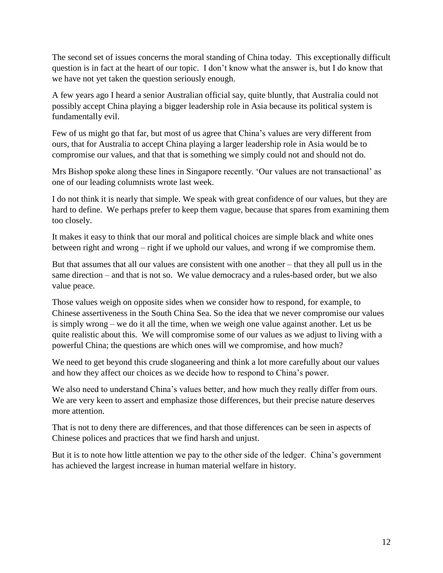The second set of issues concerns the moral standing of China today. This exceptionally difficult question is in fact at the heart of our topic. I don't know what the answer is, but I do know that we have not yet taken the question seriously enough.

A few years ago I heard a senior Australian official say, quite bluntly, that Australia could not possibly accept China playing a bigger leadership role in Asia because its political system is fundamentally evil.

Few of us might go that far, but most of us agree that China's values are very different from ours, that for Australia to accept China playing a larger leadership role in Asia would be to compromise our values, and that that is something we simply could not and should not do.

Mrs Bishop spoke along these lines in Singapore recently. 'Our values are not transactional' as one of our leading columnists wrote last week.

I do not think it is nearly that simple. We speak with great confidence of our values, but they are hard to define. We perhaps prefer to keep them vague, because that spares from examining them too closely.

It makes it easy to think that our moral and political choices are simple black and white ones between right and wrong – right if we uphold our values, and wrong if we compromise them.

But that assumes that all our values are consistent with one another – that they all pull us in the same direction – and that is not so. We value democracy and a rules-based order, but we also value peace.

Those values weigh on opposite sides when we consider how to respond, for example, to Chinese assertiveness in the South China Sea. So the idea that we never compromise our values is simply wrong – we do it all the time, when we weigh one value against another. Let us be quite realistic about this. We will compromise some of our values as we adjust to living with a powerful China; the questions are which ones will we compromise, and how much?

We need to get beyond this crude sloganeering and think a lot more carefully about our values and how they affect our choices as we decide how to respond to China's power.

We also need to understand China's values better, and how much they really differ from ours. We are very keen to assert and emphasize those differences, but their precise nature deserves more attention.

That is not to deny there are differences, and that those differences can be seen in aspects of Chinese polices and practices that we find harsh and unjust.

But it is to note how little attention we pay to the other side of the ledger. China's government has achieved the largest increase in human material welfare in history.